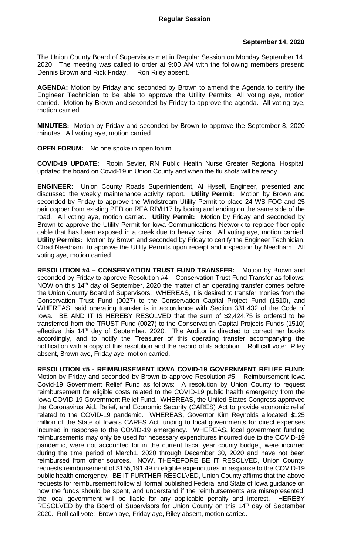## **September 14, 2020**

The Union County Board of Supervisors met in Regular Session on Monday September 14, 2020. The meeting was called to order at 9:00 AM with the following members present: Dennis Brown and Rick Friday. Ron Riley absent.

**AGENDA:** Motion by Friday and seconded by Brown to amend the Agenda to certify the Engineer Technician to be able to approve the Utility Permits. All voting aye, motion carried. Motion by Brown and seconded by Friday to approve the agenda. All voting aye, motion carried.

**MINUTES:** Motion by Friday and seconded by Brown to approve the September 8, 2020 minutes. All voting aye, motion carried.

**OPEN FORUM:** No one spoke in open forum.

**COVID-19 UPDATE:** Robin Sevier, RN Public Health Nurse Greater Regional Hospital, updated the board on Covid-19 in Union County and when the flu shots will be ready.

**ENGINEER:** Union County Roads Superintendent, Al Hysell, Engineer, presented and discussed the weekly maintenance activity report. **Utility Permit:** Motion by Brown and seconded by Friday to approve the Windstream Utility Permit to place 24 WS FOC and 25 pair copper from existing PED on REA RD/H17 by boring and ending on the same side of the road. All voting aye, motion carried. **Utility Permit:** Motion by Friday and seconded by Brown to approve the Utility Permit for Iowa Communications Network to replace fiber optic cable that has been exposed in a creek due to heavy rains. All voting aye, motion carried. **Utility Permits:** Motion by Brown and seconded by Friday to certify the Engineer Technician, Chad Needham, to approve the Utility Permits upon receipt and inspection by Needham. All voting aye, motion carried.

**RESOLUTION #4 – CONSERVATION TRUST FUND TRANSFER:** Motion by Brown and seconded by Friday to approve Resolution #4 – Conservation Trust Fund Transfer as follows: NOW on this  $14<sup>th</sup>$  day of September, 2020 the matter of an operating transfer comes before the Union County Board of Supervisors. WHEREAS, it is desired to transfer monies from the Conservation Trust Fund (0027) to the Conservation Capital Project Fund (1510), and WHEREAS, said operating transfer is in accordance with Section 331.432 of the Code of Iowa. BE AND IT IS HEREBY RESOLVED that the sum of \$2,424.75 is ordered to be transferred from the TRUST Fund (0027) to the Conservation Capital Projects Funds (1510) effective this  $14<sup>th</sup>$  day of September, 2020. The Auditor is directed to correct her books accordingly, and to notify the Treasurer of this operating transfer accompanying the notification with a copy of this resolution and the record of its adoption. Roll call vote: Riley absent, Brown aye, Friday aye, motion carried.

**RESOLUTION #5 - REIMBURSEMENT IOWA COVID-19 GOVERNMENT RELIEF FUND:**  Motion by Friday and seconded by Brown to approve Resolution #5 – Reimbursement Iowa Covid-19 Government Relief Fund as follows: A resolution by Union County to request reimbursement for eligible costs related to the COVID-19 public health emergency from the Iowa COVID-19 Government Relief Fund. WHEREAS, the United States Congress approved the Coronavirus Aid, Relief, and Economic Security (CARES) Act to provide economic relief related to the COVID-19 pandemic. WHEREAS, Governor Kim Reynolds allocated \$125 million of the State of Iowa's CARES Act funding to local governments for direct expenses incurred in response to the COVID-19 emergency. WHEREAS, local government funding reimbursements may only be used for necessary expenditures incurred due to the COVID-19 pandemic, were not accounted for in the current fiscal year county budget, were incurred during the time period of March1, 2020 through December 30, 2020 and have not been reimbursed from other sources. NOW, THEREFORE BE IT RESOLVED, Union County, requests reimbursement of \$155,191.49 in eligible expenditures in response to the COVID-19 public health emergency. BE IT FURTHER RESOLVED, Union County affirms that the above requests for reimbursement follow all formal published Federal and State of Iowa guidance on how the funds should be spent, and understand if the reimbursements are misrepresented, the local government will be liable for any applicable penalty and interest. HEREBY RESOLVED by the Board of Supervisors for Union County on this 14<sup>th</sup> day of September 2020. Roll call vote: Brown aye, Friday aye, Riley absent, motion carried.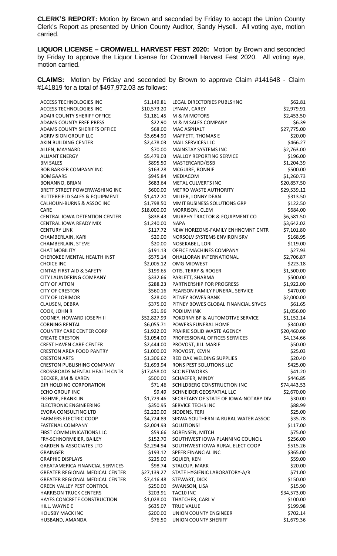**CLERK'S REPORT:** Motion by Brown and seconded by Friday to accept the Union County Clerk's Report as presented by Union County Auditor, Sandy Hysell. All voting aye, motion carried.

**LIQUOR LICENSE – CROMWELL HARVEST FEST 2020:** Motion by Brown and seconded by Friday to approve the Liquor License for Cromwell Harvest Fest 2020. All voting aye, motion carried.

**CLAIMS:** Motion by Friday and seconded by Brown to approve Claim #141648 - Claim #141819 for a total of \$497,972.03 as follows:

| ACCESS TECHNOLOGIES INC                  | \$1,149.81  | LEGAL DIRECTORIES PUBLSHNG            | \$62.81     |
|------------------------------------------|-------------|---------------------------------------|-------------|
| <b>ACCESS TECHNOLOGIES INC</b>           | \$10,573.20 | LYNAM, CAREY                          | \$2,979.91  |
| ADAIR COUNTY SHERIFF OFFICE              | \$1,181.45  | M & M MOTORS                          | \$2,453.50  |
| ADAMS COUNTY FREE PRESS                  | \$22.90     | M & M SALES COMPANY                   | \$6.39      |
| <b>ADAMS COUNTY SHERIFFS OFFICE</b>      | \$68.00     | MAC ASPHALT                           | \$27,775.00 |
| <b>AGRIVISION GROUP LLC</b>              | \$3,654.90  | MAFFETT, THOMAS E                     | \$20.00     |
| AKIN BUILDING CENTER                     | \$2,478.03  | MAIL SERVICES LLC                     | \$466.27    |
| ALLEN, MAYNARD                           | \$70.00     | <b>MAINSTAY SYSTEMS INC</b>           | \$2,763.00  |
| <b>ALLIANT ENERGY</b>                    | \$5,479.03  | <b>MALLOY REPORTING SERVICE</b>       | \$196.00    |
| <b>BM SALES</b>                          | \$895.50    | MASTERCARD/ISSB                       | \$1,204.39  |
| <b>BOB BARKER COMPANY INC</b>            | \$163.28    | MCGUIRE, BONNIE                       | \$500.00    |
| <b>BOMGAARS</b>                          | \$945.84    | MEDIACOM                              | \$1,260.73  |
| BONANNO, BRIAN                           | \$683.64    | METAL CULVERTS INC                    | \$20,857.50 |
| BRETT STREET POWERWASHING INC            | \$600.00    | <b>METRO WASTE AUTHORITY</b>          | \$29,539.12 |
| <b>BUTTERFIELD SALES &amp; EQUIPMENT</b> | \$1,412.20  | MILLER, LONNY DEAN                    | \$313.50    |
| CALHOUN-BURNS & ASSOC INC                | \$1,798.50  | MMIT BUSINESS SOLUTIONS GRP           | \$122.50    |
| CARE                                     | \$18,000.00 | MORRISON, CLEM                        | \$684.00    |
| CENTRAL IOWA DETENTION CENTER            | \$838.43    | MURPHY TRACTOR & EQUIPMENT CO         | \$6,581.50  |
| CENTRAL IOWA READY MIX                   | \$1,240.00  | <b>NAPA</b>                           | \$3,642.02  |
| <b>CENTURY LINK</b>                      | \$117.72    | NEW HORIZONS-FAMILY ENHNCMNT CNTR     | \$7,101.80  |
| CHAMBERLAIN, KARI                        | \$20.00     | NORSOLV SYSTEMS ENVIRON SRV           | \$168.95    |
| CHAMBERLAIN, STEVE                       | \$20.00     | NOSEKABEL, LORI                       | \$119.00    |
| <b>CHAT MOBILITY</b>                     | \$191.13    | OFFICE MACHINES COMPANY               | \$27.93     |
| CHEROKEE MENTAL HEALTH INST              | \$575.14    | OHALLORAN INTERNATIONAL               | \$2,706.87  |
|                                          | \$2,005.12  |                                       | \$223.18    |
| <b>CHOICE INC</b>                        |             | <b>OMG MIDWEST</b>                    |             |
| <b>CINTAS FIRST AID &amp; SAFETY</b>     | \$199.65    | OTIS, TERRY & ROGER                   | \$1,500.00  |
| CITY LAUNDERING COMPANY                  | \$332.66    | PARLETT, SHARMA                       | \$500.00    |
| <b>CITY OF AFTON</b>                     | \$288.23    | PARTNERSHIP FOR PROGRESS              | \$1,922.00  |
| <b>CITY OF CRESTON</b>                   | \$560.16    | PEARSON FAMILY FUNERAL SERVICE        | \$470.00    |
| <b>CITY OF LORIMOR</b>                   | \$28.00     | PITNEY BOWES BANK                     | \$2,000.00  |
| CLAUSEN, DEBRA                           | \$375.00    | PITNEY BOWES GLOBAL FINANCIAL SRVCS   | \$61.65     |
| COOK, JOHN R                             | \$31.96     | <b>PODIUM INK</b>                     | \$1,056.00  |
| COONEY, HOWARD JOSEPH II                 | \$52,827.99 | POKORNY BP & AUTOMOTIVE SERVICE       | \$1,152.14  |
| <b>CORNING RENTAL</b>                    | \$6,055.71  | POWERS FUNERAL HOME                   | \$340.00    |
| <b>COUNTRY CARE CENTER CORP</b>          | \$1,922.00  | PRAIRIE SOLID WASTE AGENCY            | \$20,460.00 |
| <b>CREATE CRESTON</b>                    | \$1,054.00  | PROFESSIONAL OFFICES SERVICES         | \$4,134.66  |
| <b>CREST HAVEN CARE CENTER</b>           | \$2,444.00  | PROVOST, JILL MARIE                   | \$50.00     |
| <b>CRESTON AREA FOOD PANTRY</b>          | \$1,000.00  | PROVOST, KEVIN                        | \$25.03     |
| <b>CRESTON ARTS</b>                      | \$1,306.62  | RED OAK WELDING SUPPLIES              | \$20.40     |
| <b>CRESTON PUBLISHING COMPANY</b>        | \$1,693.94  | RONS PEST SOLUTIONS LLC               | \$425.00    |
| CROSSROADS MENTAL HEALTH CNTR            | \$17,458.00 | <b>SCC NETWORKS</b>                   | \$41.20     |
| DECKER, JIM & KAREN                      | \$500.00    | SCHAEFER, MINDY                       | \$446.85    |
| DJR HOLDING CORPORATION                  | \$71.46     | SCHILDBERG CONSTRUCTION INC           | \$74,443.53 |
| <b>ECHO GROUP INC</b>                    | \$9.49      | SCHNEIDER GEOSPATIAL LLC              | \$2,670.00  |
| EIGHME, FRANKLIN                         | \$1,729.46  | SECRETARY OF STATE OF IOWA-NOTARY DIV | \$30.00     |
| <b>ELECTRONIC ENGINEERING</b>            | \$350.95    | SERVICE TECHS INC                     | \$88.99     |
| <b>EVORA CONSULTING LTD</b>              | \$2,220.00  | SIDDENS, TERI                         | \$25.00     |
| <b>FARMERS ELECTRIC COOP</b>             | \$4,724.89  | SIRWA-SOUTHERN IA RURAL WATER ASSOC   | \$35.78     |
| <b>FASTENAL COMPANY</b>                  | \$2,004.93  | SOLUTIONS!                            | \$117.00    |
| FIRST COMMUNICATIONS LLC                 | \$59.66     | SORENSEN, MITCH                       | \$75.00     |
| FRY-SCHNORMEIER, BAILEY                  | \$152.70    | SOUTHWEST IOWA PLANNING COUNCIL       | \$256.00    |
| <b>GARDEN &amp; ASSOCIATES LTD</b>       | \$2,294.94  | SOUTHWEST IOWA RURAL ELECT COOP       | \$515.26    |
| <b>GRAINGER</b>                          | \$193.12    | SPEER FINANCIAL INC                   | \$365.00    |
| <b>GRAPHIC DISPLAYS</b>                  | \$225.00    | SQUIER, KEN                           | \$59.00     |
| <b>GREATAMERICA FINANCIAL SERVICES</b>   | \$98.74     | STALCUP, MARK                         | \$20.00     |
| <b>GREATER REGIONAL MEDICAL CENTER</b>   | \$27,139.27 | STATE HYGIENIC LABORATORY-A/R         | \$71.00     |
| <b>GREATER REGIONAL MEDICAL CENTER</b>   | \$7,416.48  | STEWART, DICK                         | \$150.00    |
| <b>GREEN VALLEY PEST CONTROL</b>         | \$250.00    | SWANSON, LISA                         | \$15.90     |
| <b>HARRISON TRUCK CENTERS</b>            | \$203.91    | TAC10 INC                             | \$34,573.00 |
| HAYES CONCRETE CONSTRUCTION              | \$1,028.00  | THATCHER, CARL V                      | \$100.00    |
| HILL, WAYNE E                            | \$635.07    | <b>TRUE VALUE</b>                     | \$199.98    |
| <b>HOUSBY MACK INC</b>                   | \$200.00    | UNION COUNTY ENGINEER                 | \$702.14    |
| HUSBAND, AMANDA                          | \$76.50     | UNION COUNTY SHERIFF                  | \$1,679.36  |